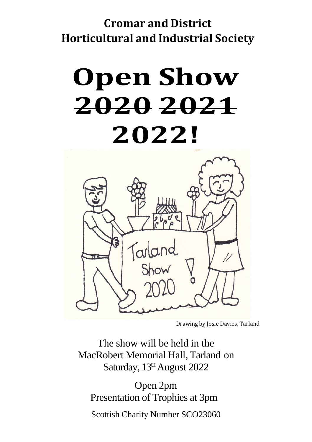### **Cromar and District Horticultural and Industrial Society**

# **Open Show 2020 2021 2022!**



Drawing by Josie Davies, Tarland

The show will be held in the MacRobert Memorial Hall, Tarland on Saturday, 13<sup>th</sup> August 2022

Open 2pm Presentation of Trophies at 3pm

Scottish Charity Number SCO23060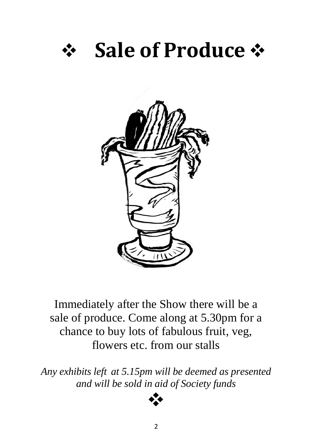## ❖ **Sale of Produce** ❖



Immediately after the Show there will be a sale of produce. Come along at 5.30pm for a chance to buy lots of fabulous fruit, veg, flowers etc. from our stalls

*Any exhibits left at 5.15pm will be deemed as presented and will be sold in aid of Society funds*

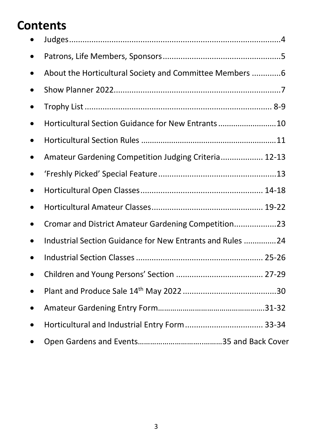### **Contents**

| About the Horticultural Society and Committee Members  6  |
|-----------------------------------------------------------|
|                                                           |
|                                                           |
| Horticultural Section Guidance for New Entrants10         |
|                                                           |
| Amateur Gardening Competition Judging Criteria 12-13      |
|                                                           |
|                                                           |
|                                                           |
| Cromar and District Amateur Gardening Competition23       |
| Industrial Section Guidance for New Entrants and Rules 24 |
|                                                           |
|                                                           |
|                                                           |
|                                                           |
| Horticultural and Industrial Entry Form 33-34             |
|                                                           |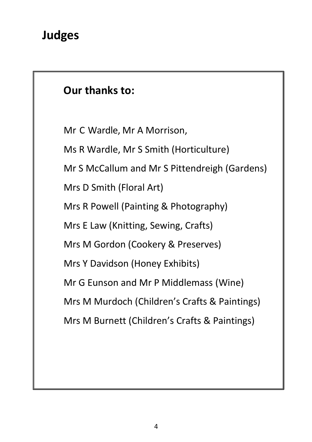### **Our thanks to:**

Mr C Wardle, Mr A Morrison,

Ms R Wardle, Mr S Smith (Horticulture)

Mr S McCallum and Mr S Pittendreigh (Gardens)

Mrs D Smith (Floral Art)

Mrs R Powell (Painting & Photography)

Mrs E Law (Knitting, Sewing, Crafts)

Mrs M Gordon (Cookery & Preserves)

Mrs Y Davidson (Honey Exhibits)

Mr G Eunson and Mr P Middlemass (Wine)

Mrs M Murdoch (Children's Crafts & Paintings)

Mrs M Burnett (Children's Crafts & Paintings)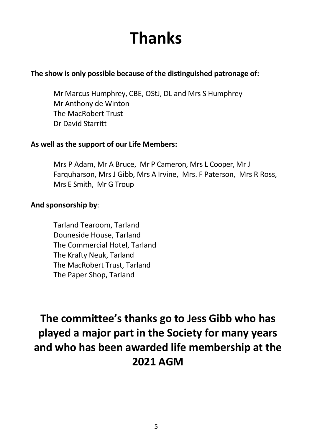## **Thanks**

### **The show is only possible because of the distinguished patronage of:**

Mr Marcus Humphrey, CBE, OStJ, DL and Mrs S Humphrey Mr Anthony de Winton The MacRobert Trust Dr David Starritt

### **As well as the support of our Life Members:**

Mrs P Adam, Mr A Bruce, Mr P Cameron, Mrs L Cooper, Mr J Farquharson, Mrs J Gibb, Mrs A Irvine, Mrs. F Paterson, Mrs R Ross, Mrs E Smith, Mr G Troup

### **And sponsorship by**:

Tarland Tearoom, Tarland Douneside House, Tarland The Commercial Hotel, Tarland The Krafty Neuk, Tarland The MacRobert Trust, Tarland The Paper Shop, Tarland

**The committee's thanks go to Jess Gibb who has played a major part in the Society for many years and who has been awarded life membership at the 2021 AGM**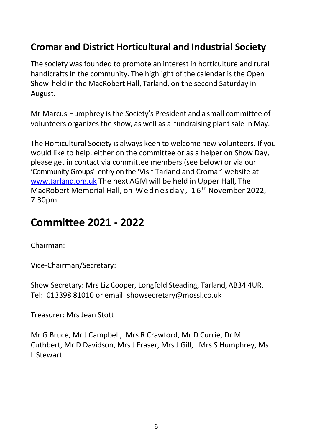### **Cromar and District Horticultural and Industrial Society**

The society was founded to promote an interest in horticulture and rural handicrafts in the community. The highlight of the calendar is the Open Show held in the MacRobert Hall, Tarland, on the second Saturday in August.

Mr Marcus Humphrey is the Society's President and a small committee of volunteers organizes the show, as well as a fundraising plant sale in May.

The Horticultural Society is always keen to welcome new volunteers. If you would like to help, either on the committee or as a helper on Show Day, please get in contact via committee members (see below) or via our 'Community Groups' entry on the 'Visit Tarland and Cromar' website at [www.tarland.org.](http://www.tarland.org/)uk The next AGM will be held in Upper Hall, The MacRobert Memorial Hall, on Wednesday, 16<sup>th</sup> November 2022, 7.30pm.

### **Committee 2021 - 2022**

Chairman:

Vice-Chairman/Secretary:

Show Secretary: Mrs Liz Cooper, Longfold Steading, Tarland, AB34 4UR. Tel: 013398 81010 or email: showsecretary@mossl.co.uk

Treasurer: Mrs Jean Stott

Mr G Bruce, Mr J Campbell, Mrs R Crawford, Mr D Currie, Dr M Cuthbert, Mr D Davidson, Mrs J Fraser, Mrs J Gill, Mrs S Humphrey, Ms L Stewart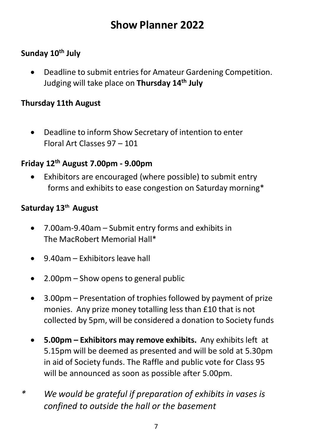### **Show Planner 2022**

### **Sunday 10th July**

• Deadline to submit entries for Amateur Gardening Competition. Judging will take place on **Thursday 14th July**

### **Thursday 11th August**

• Deadline to inform Show Secretary of intention to enter Floral Art Classes 97 – 101

### **Friday 12th August 7.00pm - 9.00pm**

• Exhibitors are encouraged (where possible) to submit entry forms and exhibits to ease congestion on Saturday morning\*

### **Saturday 13th August**

- 7.00am-9.40am Submit entry forms and exhibits in The MacRobert Memorial Hall\*
- 9.40am Exhibitors leave hall
- 2.00pm Show opens to general public
- 3.00pm Presentation of trophies followed by payment of prize monies. Any prize money totalling less than £10 that is not collected by 5pm, will be considered a donation to Society funds
- **5.00pm – Exhibitors may remove exhibits.** Any exhibits left at 5.15pm will be deemed as presented and will be sold at 5.30pm in aid of Society funds. The Raffle and public vote for Class 95 will be announced as soon as possible after 5.00pm.
- *\* We would be grateful if preparation of exhibits in vases is confined to outside the hall or the basement*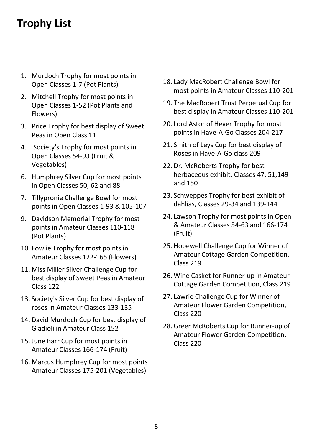### **Trophy List**

- 1. Murdoch Trophy for most points in Open Classes 1-7 (Pot Plants)
- 2. Mitchell Trophy for most points in Open Classes 1-52 (Pot Plants and Flowers)
- 3. Price Trophy for best display of Sweet Peas in Open Class 11
- 4. Society's Trophy for most points in Open Classes 54-93 (Fruit & Vegetables)
- 6. Humphrey Silver Cup for most points in Open Classes 50, 62 and 88
- 7. Tillypronie Challenge Bowl for most points in Open Classes 1-93 & 105-107
- 9. Davidson Memorial Trophy for most points in Amateur Classes 110-118 (Pot Plants)
- 10. Fowlie Trophy for most points in Amateur Classes 122-165 (Flowers)
- 11. Miss Miller Silver Challenge Cup for best display of Sweet Peas in Amateur Class 122
- 13. Society's Silver Cup for best display of roses in Amateur Classes 133-135
- 14. David Murdoch Cup for best display of Gladioli in Amateur Class 152
- 15. June Barr Cup for most points in Amateur Classes 166-174 (Fruit)
- 16. Marcus Humphrey Cup for most points Amateur Classes 175-201 (Vegetables)
- 18. Lady MacRobert Challenge Bowl for most points in Amateur Classes 110-201
- 19. The MacRobert Trust Perpetual Cup for best display in Amateur Classes 110-201
- 20. Lord Astor of Hever Trophy for most points in Have-A-Go Classes 204-217
- 21. Smith of Leys Cup for best display of Roses in Have-A-Go class 209
- 22. Dr. McRoberts Trophy for best herbaceous exhibit, Classes 47, 51,149 and 150
- 23. Schweppes Trophy for best exhibit of dahlias, Classes 29-34 and 139-144
- 24. Lawson Trophy for most points in Open & Amateur Classes 54-63 and 166-174 (Fruit)
- 25. Hopewell Challenge Cup for Winner of Amateur Cottage Garden Competition, Class 219
- 26. Wine Casket for Runner-up in Amateur Cottage Garden Competition, Class 219
- 27. Lawrie Challenge Cup for Winner of Amateur Flower Garden Competition, Class 220
- 28. Greer McRoberts Cup for Runner-up of Amateur Flower Garden Competition, Class 220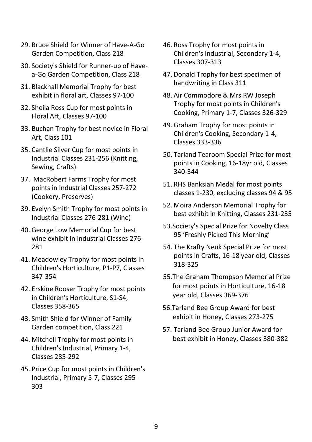- 29. Bruce Shield for Winner of Have-A-Go Garden Competition, Class 218
- 30. Society's Shield for Runner-up of Havea-Go Garden Competition, Class 218
- 31. Blackhall Memorial Trophy for best exhibit in floral art, Classes 97-100
- 32. Sheila Ross Cup for most points in Floral Art, Classes 97-100
- 33. Buchan Trophy for best novice in Floral Art, Class 101
- 35. Cantlie Silver Cup for most points in Industrial Classes 231-256 (Knitting, Sewing, Crafts)
- 37. MacRobert Farms Trophy for most points in Industrial Classes 257-272 (Cookery, Preserves)
- 39. Evelyn Smith Trophy for most points in Industrial Classes 276-281 (Wine)
- 40. George Low Memorial Cup for best wine exhibit in Industrial Classes 276- 281
- 41. Meadowley Trophy for most points in Children's Horticulture, P1-P7, Classes 347-354
- 42. Erskine Rooser Trophy for most points in Children's Horticulture, S1-S4, Classes 358-365
- 43. Smith Shield for Winner of Family Garden competition, Class 221
- 44. Mitchell Trophy for most points in Children's Industrial, Primary 1-4, Classes 285-292
- 45. Price Cup for most points in Children's Industrial, Primary 5-7, Classes 295- 303
- 46. Ross Trophy for most points in Children's Industrial, Secondary 1-4, Classes 307-313
- 47. Donald Trophy for best specimen of handwriting in Class 311
- 48. Air Commodore & Mrs RW Joseph Trophy for most points in Children's Cooking, Primary 1-7, Classes 326-329
- 49. Graham Trophy for most points in Children's Cooking, Secondary 1-4, Classes 333-336
- 50. Tarland Tearoom Special Prize for most points in Cooking, 16-18yr old, Classes 340-344
- 51. RHS Banksian Medal for most points classes 1-230, excluding classes 94 & 95
- 52. Moira Anderson Memorial Trophy for best exhibit in Knitting, Classes 231-235
- 53.Society's Special Prize for Novelty Class 95 'Freshly Picked This Morning'
- 54. The Krafty Neuk Special Prize for most points in Crafts, 16-18 year old, Classes 318-325
- 55.The Graham Thompson Memorial Prize for most points in Horticulture, 16-18 year old, Classes 369-376
- 56.Tarland Bee Group Award for best exhibit in Honey, Classes 273-275
- 57. Tarland Bee Group Junior Award for best exhibit in Honey, Classes 380-382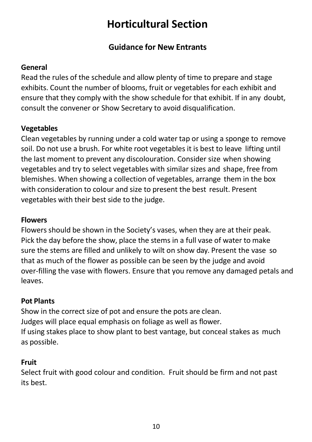### **Horticultural Section**

### **Guidance for New Entrants**

### **General**

Read the rules of the schedule and allow plenty of time to prepare and stage exhibits. Count the number of blooms, fruit or vegetables for each exhibit and ensure that they comply with the show schedule for that exhibit. If in any doubt, consult the convener or Show Secretary to avoid disqualification.

### **Vegetables**

Clean vegetables by running under a cold water tap or using a sponge to remove soil. Do not use a brush. For white root vegetables it is best to leave lifting until the last moment to prevent any discolouration. Consider size when showing vegetables and try to select vegetables with similar sizes and shape, free from blemishes. When showing a collection of vegetables, arrange them in the box with consideration to colour and size to present the best result. Present vegetables with their best side to the judge.

### **Flowers**

Flowers should be shown in the Society's vases, when they are at their peak. Pick the day before the show, place the stems in a full vase of water to make sure the stems are filled and unlikely to wilt on show day. Present the vase so that as much of the flower as possible can be seen by the judge and avoid over-filling the vase with flowers. Ensure that you remove any damaged petals and leaves.

### **Pot Plants**

Show in the correct size of pot and ensure the pots are clean. Judges will place equal emphasis on foliage as well as flower. If using stakes place to show plant to best vantage, but conceal stakes as much as possible.

### **Fruit**

Select fruit with good colour and condition. Fruit should be firm and not past its best.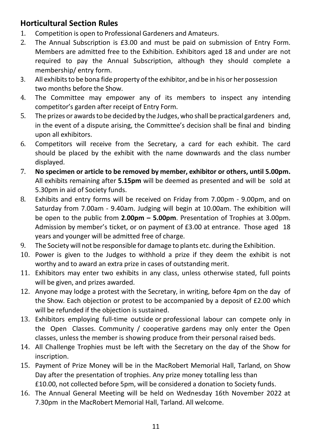### **Horticultural Section Rules**

- 1. Competition is open to Professional Gardeners and Amateurs.
- 2. The Annual Subscription is £3.00 and must be paid on submission of Entry Form. Members are admitted free to the Exhibition. Exhibitors aged 18 and under are not required to pay the Annual Subscription, although they should complete a membership/ entry form.
- 3. All exhibits to be bona fide property of the exhibitor, and be in his or her possession two months before the Show.
- 4. The Committee may empower any of its members to inspect any intending competitor's garden after receipt of Entry Form.
- 5. The prizes or awardsto be decided by the Judges, who shall be practical gardeners and, in the event of a dispute arising, the Committee's decision shall be final and binding upon all exhibitors.
- 6. Competitors will receive from the Secretary, a card for each exhibit. The card should be placed by the exhibit with the name downwards and the class number displayed.
- 7. **No specimen or article to be removed by member, exhibitor or others, until 5.00pm.** All exhibits remaining after **5.15pm** will be deemed as presented and will be sold at 5.30pm in aid of Society funds.
- 8. Exhibits and entry forms will be received on Friday from 7.00pm 9.00pm, and on Saturday from 7.00am - 9.40am. Judging will begin at 10.00am. The exhibition will be open to the public from **2.00pm – 5.00pm**. Presentation of Trophies at 3.00pm. Admission by member's ticket, or on payment of £3.00 at entrance. Those aged 18 years and younger will be admitted free of charge.
- 9. The Society will not be responsible for damage to plants etc. during the Exhibition.
- 10. Power is given to the Judges to withhold a prize if they deem the exhibit is not worthy and to award an extra prize in cases of outstanding merit.
- 11. Exhibitors may enter two exhibits in any class, unless otherwise stated, full points will be given, and prizes awarded.
- 12. Anyone may lodge a protest with the Secretary, in writing, before 4pm on the day of the Show. Each objection or protest to be accompanied by a deposit of £2.00 which will be refunded if the objection is sustained.
- 13. Exhibitors employing full-time outside or professional labour can compete only in the Open Classes. Community / cooperative gardens may only enter the Open classes, unless the member is showing produce from their personal raised beds.
- 14. All Challenge Trophies must be left with the Secretary on the day of the Show for inscription.
- 15. Payment of Prize Money will be in the MacRobert Memorial Hall, Tarland, on Show Day after the presentation of trophies. Any prize money totalling less than £10.00, not collected before 5pm, will be considered a donation to Society funds.
- 16. The Annual General Meeting will be held on Wednesday 16th November 2022 at 7.30pm in the MacRobert Memorial Hall, Tarland. All welcome.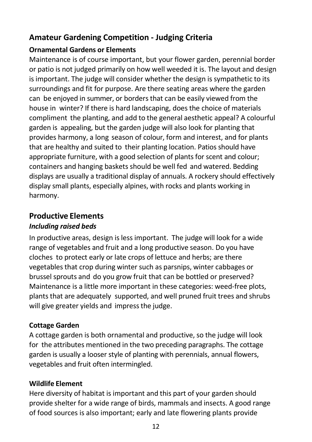### **Amateur Gardening Competition - Judging Criteria**

### **Ornamental Gardens or Elements**

Maintenance is of course important, but your flower garden, perennial border or patio is not judged primarily on how well weeded it is. The layout and design is important. The judge will consider whether the design is sympathetic to its surroundings and fit for purpose. Are there seating areas where the garden can be enjoyed in summer, or borders that can be easily viewed from the house in winter? If there is hard landscaping, does the choice of materials compliment the planting, and add to the general aesthetic appeal? A colourful garden is appealing, but the garden judge will also look for planting that provides harmony, a long season of colour, form and interest, and for plants that are healthy and suited to their planting location. Patios should have appropriate furniture, with a good selection of plants for scent and colour; containers and hanging baskets should be well fed and watered. Bedding displays are usually a traditional display of annuals. A rockery should effectively display small plants, especially alpines, with rocks and plants working in harmony.

### **Productive Elements**

### *Including raised beds*

In productive areas, design isless important. The judge will look for a wide range of vegetables and fruit and a long productive season. Do you have cloches to protect early or late crops of lettuce and herbs; are there vegetables that crop during winter such as parsnips, winter cabbages or brussel sprouts and do you grow fruit that can be bottled or preserved? Maintenance is a little more important in these categories: weed-free plots, plants that are adequately supported, and well pruned fruit trees and shrubs will give greater yields and impress the judge.

### **Cottage Garden**

A cottage garden is both ornamental and productive, so the judge will look for the attributes mentioned in the two preceding paragraphs. The cottage garden is usually a looser style of planting with perennials, annual flowers, vegetables and fruit often intermingled.

### **Wildlife Element**

Here diversity of habitat is important and this part of your garden should provide shelter for a wide range of birds, mammals and insects. A good range of food sources is also important; early and late flowering plants provide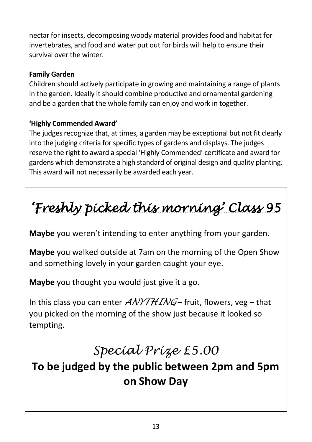nectar for insects, decomposing woody material providesfood and habitat for invertebrates, and food and water put out for birds will help to ensure their survival over the winter.

### **Family Garden**

Children should actively participate in growing and maintaining a range of plants in the garden. Ideally it should combine productive and ornamental gardening and be a garden that the whole family can enjoy and work in together.

### **'Highly Commended Award'**

The judges recognize that, at times, a garden may be exceptional but not fit clearly into the judging criteria for specific types of gardens and displays. The judges reserve the right to award a special 'Highly Commended' certificate and award for gardens which demonstrate a high standard of original design and quality planting. This award will not necessarily be awarded each year.

*'Freshly picked this morning' Class 95* 

**Maybe** you weren't intending to enter anything from your garden.

**Maybe** you walked outside at 7am on the morning of the Open Show and something lovely in your garden caught your eye.

**Maybe** you thought you would just give it a go.

In this class you can enter *ANYTHING* – fruit, flowers, veg – that you picked on the morning of the show just because it looked so tempting.

### *Special Prize £5.00*

### **To be judged by the public between 2pm and 5pm on Show Day**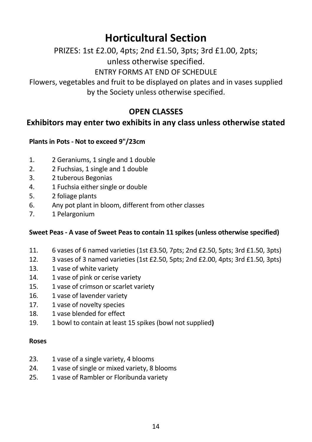### **Horticultural Section**

PRIZES: 1st £2.00, 4pts; 2nd £1.50, 3pts; 3rd £1.00, 2pts;

unless otherwise specified.

ENTRY FORMS AT END OF SCHEDULE

Flowers, vegetables and fruit to be displayed on plates and in vases supplied by the Society unless otherwise specified.

### **OPEN CLASSES**

### **Exhibitors may enter two exhibits in any class unless otherwise stated**

### **Plants in Pots - Not to exceed 9"/23cm**

- 1. 2 Geraniums, 1 single and 1 double
- 2. 2 Fuchsias, 1 single and 1 double
- 3. 2 tuberous Begonias
- 4. 1 Fuchsia either single or double
- 5. 2 foliage plants
- 6. Any pot plant in bloom, different from other classes
- 7. 1 Pelargonium

#### **Sweet Peas - A vase of Sweet Peas to contain 11 spikes (unless otherwise specified)**

- 11. 6 vases of 6 named varieties (1st £3.50, 7pts; 2nd £2.50, 5pts; 3rd £1.50, 3pts)
- 12. 3 vases of 3 named varieties (1st £2.50, 5pts; 2nd £2.00, 4pts; 3rd £1.50, 3pts)
- 13. 1 vase of white variety
- 14. 1 vase of pink or cerise variety
- 15. 1 vase of crimson or scarlet variety
- 16. 1 vase of lavender variety
- 17. 1 vase of novelty species
- 18. 1 vase blended for effect
- 19. 1 bowl to contain at least 15 spikes (bowl not supplied**)**

#### **Roses**

- 23. 1 vase of a single variety, 4 blooms
- 24. 1 vase of single or mixed variety, 8 blooms
- 25. 1 vase of Rambler or Floribunda variety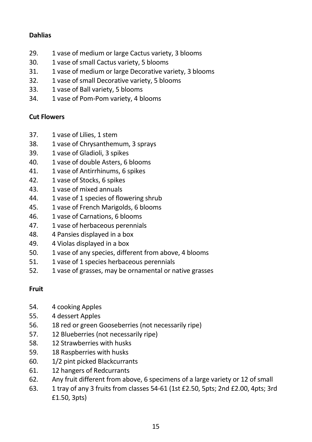### **Dahlias**

- 29. 1 vase of medium or large Cactus variety, 3 blooms
- 30. 1 vase of small Cactus variety, 5 blooms
- 31. 1 vase of medium or large Decorative variety, 3 blooms
- 32. 1 vase of small Decorative variety, 5 blooms
- 33. 1 vase of Ball variety, 5 blooms
- 34. 1 vase of Pom-Pom variety, 4 blooms

### **Cut Flowers**

- 37. 1 vase of Lilies, 1 stem
- 38. 1 vase of Chrysanthemum, 3 sprays
- 39. 1 vase of Gladioli, 3 spikes
- 40. 1 vase of double Asters, 6 blooms
- 41. 1 vase of Antirrhinums, 6 spikes
- 42. 1 vase of Stocks, 6 spikes
- 43. 1 vase of mixed annuals
- 44. 1 vase of 1 species of flowering shrub
- 45. 1 vase of French Marigolds, 6 blooms
- 46. 1 vase of Carnations, 6 blooms
- 47. 1 vase of herbaceous perennials
- 48. 4 Pansies displayed in a box
- 49. 4 Violas displayed in a box
- 50. 1 vase of any species, different from above, 4 blooms
- 51. 1 vase of 1 species herbaceous perennials
- 52. 1 vase of grasses, may be ornamental or native grasses

### **Fruit**

- 54. 4 cooking Apples
- 55. 4 dessert Apples
- 56. 18 red or green Gooseberries (not necessarily ripe)
- 57. 12 Blueberries (not necessarily ripe)
- 58. 12 Strawberries with husks
- 59. 18 Raspberries with husks
- 60. 1/2 pint picked Blackcurrants
- 61. 12 hangers of Redcurrants
- 62. Any fruit different from above, 6 specimens of a large variety or 12 of small
- 63. 1 tray of any 3 fruits from classes 54-61 (1st £2.50, 5pts; 2nd £2.00, 4pts; 3rd £1.50, 3pts)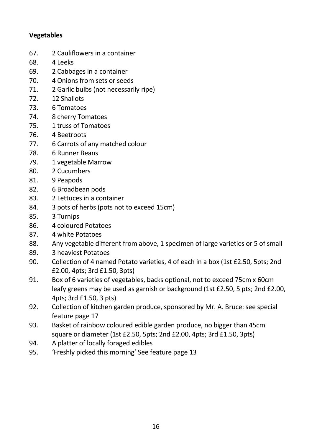### **Vegetables**

- 67. 2 Cauliflowers in a container
- 68. 4 Leeks
- 69. 2 Cabbages in a container
- 70. 4 Onions from sets or seeds
- 71. 2 Garlic bulbs (not necessarily ripe)
- 72. 12 Shallots
- 73. 6 Tomatoes
- 74. 8 cherry Tomatoes
- 75. 1 truss of Tomatoes
- 76. 4 Beetroots
- 77. 6 Carrots of any matched colour
- 78. 6 Runner Beans
- 79. 1 vegetable Marrow
- 80. 2 Cucumbers
- 81. 9 Peapods
- 82. 6 Broadbean pods
- 83. 2 Lettuces in a container
- 84. 3 pots of herbs (pots not to exceed 15cm)
- 85. 3 Turnips
- 86. 4 coloured Potatoes
- 87. 4 white Potatoes
- 88. Any vegetable different from above, 1 specimen of large varieties or 5 of small
- 89. 3 heaviest Potatoes
- 90. Collection of 4 named Potato varieties, 4 of each in a box (1st £2.50, 5pts; 2nd £2.00, 4pts; 3rd £1.50, 3pts)
- 91. Box of 6 varieties of vegetables, backs optional, not to exceed 75cm x 60cm leafy greens may be used as garnish or background (1st £2.50, 5 pts; 2nd £2.00, 4pts; 3rd £1.50, 3 pts)
- 92. Collection of kitchen garden produce, sponsored by Mr. A. Bruce: see special feature page 17
- 93. Basket of rainbow coloured edible garden produce, no bigger than 45cm square or diameter (1st £2.50, 5pts; 2nd £2.00, 4pts; 3rd £1.50, 3pts)
- 94. A platter of locally foraged edibles
- 95. 'Freshly picked this morning' See feature page 13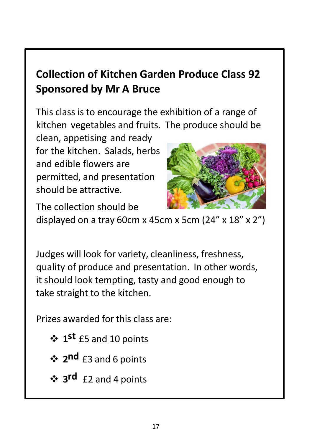### **Collection of Kitchen Garden Produce Class 92 Sponsored by Mr A Bruce**

This class is to encourage the exhibition of a range of kitchen vegetables and fruits. The produce should be

clean, appetising and ready for the kitchen. Salads, herbs and edible flowers are permitted, and presentation should be attractive.



The collection should be displayed on a tray 60cm x 45cm x 5cm  $(24'' \times 18'' \times 2'')$ 

Judges will look for variety, cleanliness, freshness, quality of produce and presentation. In other words, it should look tempting, tasty and good enough to take straight to the kitchen.

Prizes awarded for this class are:

- ❖ **1 st** £5 and 10 points
- ❖ **2 nd** £3 and 6 points
- ❖ **3 rd** £2 and 4 points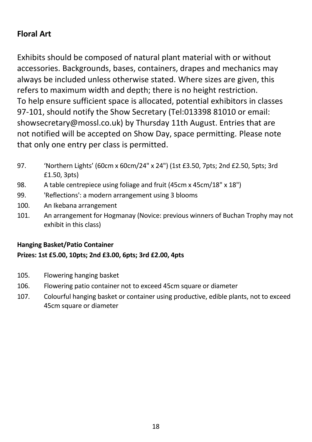### **Floral Art**

Exhibits should be composed of natural plant material with or without accessories. Backgrounds, bases, containers, drapes and mechanics may always be included unless otherwise stated. Where sizes are given, this refers to maximum width and depth; there is no height restriction. To help ensure sufficient space is allocated, potential exhibitors in classes 97-101, should notify the Show Secretary (Tel:013398 81010 or email: showsecretary@mossl.co.uk) by Thursday 11th August. Entries that are not notified will be accepted on Show Day, space permitting. Please note that only one entry per class is permitted.

- 97. 'Northern Lights' (60cm x 60cm/24" x 24") (1st £3.50, 7pts; 2nd £2.50, 5pts; 3rd £1.50, 3pts)
- 98. A table centrepiece using foliage and fruit (45cm x 45cm/18" x 18")
- 99. 'Reflections': a modern arrangement using 3 blooms
- 100. An Ikebana arrangement
- 101. An arrangement for Hogmanay (Novice: previous winners of Buchan Trophy may not exhibit in this class)

### **Hanging Basket/Patio Container**

### **Prizes: 1st £5.00, 10pts; 2nd £3.00, 6pts; 3rd £2.00, 4pts**

- 105. Flowering hanging basket
- 106. Flowering patio container not to exceed 45cm square or diameter
- 107. Colourful hanging basket or container using productive, edible plants, not to exceed 45cm square or diameter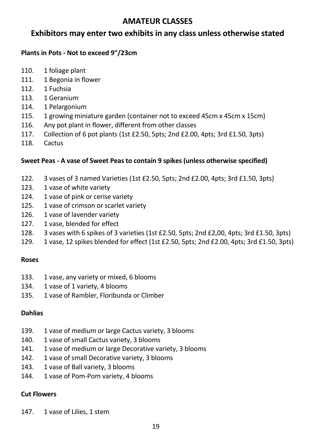### **AMATEUR CLASSES**

### **Exhibitors may enter two exhibits in any class unless otherwise stated**

#### **Plants in Pots - Not to exceed 9"/23cm**

- 110. 1 foliage plant
- 111. 1 Begonia in flower
- 112. 1 Fuchsia
- 113. 1 Geranium
- 114. 1 Pelargonium
- 115. 1 growing miniature garden (container not to exceed 45cm x 45cm x 15cm)
- 116. Any pot plant in flower, different from other classes
- 117. Collection of 6 pot plants (1st £2.50, 5pts; 2nd £2.00, 4pts; 3rd £1.50, 3pts)
- 118. Cactus

#### **Sweet Peas - A vase of Sweet Peas to contain 9 spikes (unless otherwise specified)**

- 122. 3 vases of 3 named Varieties (1st £2.50, 5pts; 2nd £2.00, 4pts; 3rd £1.50, 3pts)
- 123. 1 vase of white variety
- 124. 1 vase of pink or cerise variety
- 125. 1 vase of crimson or scarlet variety
- 126. 1 vase of lavender variety
- 127. 1 vase, blended for effect
- 128. 3 vases with 6 spikes of 3 varieties (1st £2.50, 5pts; 2nd £2,00, 4pts; 3rd £1.50, 3pts)
- 129. 1 vase, 12 spikes blended for effect (1st £2.50, 5pts; 2nd £2.00, 4pts; 3rd £1.50, 3pts)

#### **Roses**

- 133. 1 vase, any variety or mixed, 6 blooms
- 134. 1 vase of 1 variety, 4 blooms
- 135. 1 vase of Rambler, Floribunda or Climber

#### **Dahlias**

- 139. 1 vase of medium or large Cactus variety, 3 blooms
- 140. 1 vase of small Cactus variety, 3 blooms
- 141. 1 vase of medium or large Decorative variety, 3 blooms
- 142. 1 vase of small Decorative variety, 3 blooms
- 143. 1 vase of Ball variety, 3 blooms
- 144. 1 vase of Pom-Pom variety, 4 blooms

#### **Cut Flowers**

147. 1 vase of Lilies, 1 stem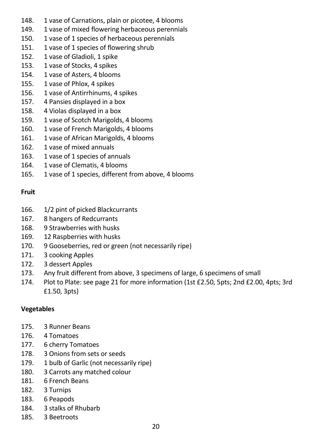- 148. 1 vase of Carnations, plain or picotee, 4 blooms
- 149. 1 vase of mixed flowering herbaceous perennials
- 150. 1 vase of 1 species of herbaceous perennials
- 151. 1 vase of 1 species of flowering shrub
- 152. 1 vase of Gladioli, 1 spike
- 153. 1 vase of Stocks, 4 spikes
- 154. 1 vase of Asters, 4 blooms
- 155. 1 vase of Phlox, 4 spikes
- 156. 1 vase of Antirrhinums, 4 spikes
- 157. 4 Pansies displayed in a box
- 158. 4 Violas displayed in a box
- 159. 1 vase of Scotch Marigolds, 4 blooms
- 160. 1 vase of French Marigolds, 4 blooms
- 161. 1 vase of African Marigolds, 4 blooms
- 162. 1 vase of mixed annuals
- 163. 1 vase of 1 species of annuals
- 164. 1 vase of Clematis, 4 blooms
- 165. 1 vase of 1 species, different from above, 4 blooms

### **Fruit**

- 166. 1/2 pint of picked Blackcurrants
- 167. 8 hangers of Redcurrants
- 168. 9 Strawberries with husks
- 169. 12 Raspberries with husks
- 170. 9 Gooseberries, red or green (not necessarily ripe)
- 171. 3 cooking Apples
- 172. 3 dessert Apples
- 173. Any fruit different from above, 3 specimens of large, 6 specimens of small
- 174. Plot to Plate: see page 21 for more information (1st £2.50, 5pts; 2nd £2.00, 4pts; 3rd £1.50, 3pts)

### **Vegetables**

- 175. 3 Runner Beans
- 176. 4 Tomatoes
- 177. 6 cherry Tomatoes
- 178. 3 Onions from sets or seeds
- 179. 1 bulb of Garlic (not necessarily ripe)
- 180. 3 Carrots any matched colour
- 181. 6 French Beans
- 182. 3 Turnips
- 183. 6 Peapods
- 184. 3 stalks of Rhubarb
- 185. 3 Beetroots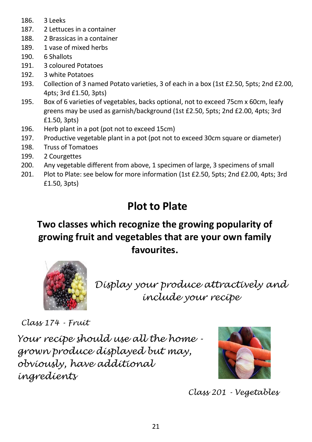- 186. 3 Leeks
- 187. 2 Lettuces in a container
- 188. 2 Brassicas in a container
- 189. 1 vase of mixed herbs
- 190. 6 Shallots
- 191. 3 coloured Potatoes
- 192. 3 white Potatoes
- 193. Collection of 3 named Potato varieties, 3 of each in a box (1st £2.50, 5pts; 2nd £2.00, 4pts; 3rd £1.50, 3pts)
- 195. Box of 6 varieties of vegetables, backs optional, not to exceed 75cm x 60cm, leafy greens may be used as garnish/background (1st £2.50, 5pts; 2nd £2.00, 4pts; 3rd £1.50, 3pts)
- 196. Herb plant in a pot (pot not to exceed 15cm)
- 197. Productive vegetable plant in a pot (pot not to exceed 30cm square or diameter)
- 198. Truss of Tomatoes
- 199. 2 Courgettes
- 200. Any vegetable different from above, 1 specimen of large, 3 specimens of small
- 201. Plot to Plate: see below for more information (1st £2.50, 5pts; 2nd £2.00, 4pts; 3rd £1.50, 3pts)

### **Plot to Plate**

### **Two classes which recognize the growing popularity of growing fruit and vegetables that are your own family favourites.**



*Display your produce attractively and include your recipe*

*Class 174 - Fruit*

*Your recipe should use all the home grown produce displayed but may, obviously, have additional ingredients*



*Class 201 - Vegetables*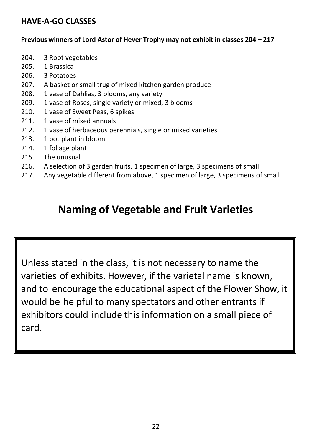### **HAVE-A-GO CLASSES**

#### **Previous winners of Lord Astor of Hever Trophy may not exhibit in classes 204 – 217**

- 204. 3 Root vegetables
- 205. 1 Brassica
- 206. 3 Potatoes
- 207. A basket or small trug of mixed kitchen garden produce
- 208. 1 vase of Dahlias, 3 blooms, any variety
- 209. 1 vase of Roses, single variety or mixed, 3 blooms
- 210. 1 vase of Sweet Peas, 6 spikes
- 211. 1 vase of mixed annuals
- 212. 1 vase of herbaceous perennials, single or mixed varieties
- 213. 1 pot plant in bloom
- 214. 1 foliage plant
- 215. The unusual
- 216. A selection of 3 garden fruits, 1 specimen of large, 3 specimens of small
- 217. Any vegetable different from above, 1 specimen of large, 3 specimens of small

### **Naming of Vegetable and Fruit Varieties**

Unless stated in the class, it is not necessary to name the varieties of exhibits. However, if the varietal name is known, and to encourage the educational aspect of the Flower Show, it would be helpful to many spectators and other entrants if exhibitors could include this information on a small piece of card.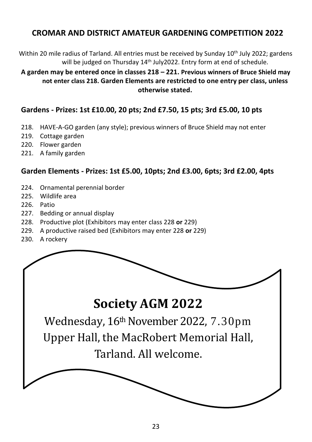### **CROMAR AND DISTRICT AMATEUR GARDENING COMPETITION 2022**

Within 20 mile radius of Tarland. All entries must be received by Sunday 10th July 2022; gardens will be judged on Thursday 14<sup>th</sup> July2022. Entry form at end of schedule.

**A garden may be entered once in classes 218 – 221. Previous winners of Bruce Shield may not enter class 218. Garden Elements are restricted to one entry per class, unless otherwise stated.**

#### **Gardens - Prizes: 1st £10.00, 20 pts; 2nd £7.50, 15 pts; 3rd £5.00, 10 pts**

- 218. HAVE-A-GO garden (any style); previous winners of Bruce Shield may not enter
- 219. Cottage garden
- 220. Flower garden
- 221. A family garden

#### **Garden Elements - Prizes: 1st £5.00, 10pts; 2nd £3.00, 6pts; 3rd £2.00, 4pts**

- 224. Ornamental perennial border
- 225. Wildlife area
- 226. Patio
- 227. Bedding or annual display
- 228. Productive plot (Exhibitors may enter class 228 **or** 229)
- 229. A productive raised bed (Exhibitors may enter 228 **or** 229)
- 230. A rockery

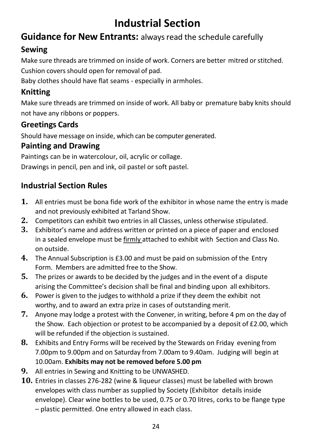### **Industrial Section**

### **Guidance for New Entrants:** alwaysread the schedule carefully

### **Sewing**

Make sure threads are trimmed on inside of work. Corners are better mitred orstitched.

Cushion covers should open for removal of pad.

Baby clothes should have flat seams - especially in armholes.

### **Knitting**

Make sure threads are trimmed on inside of work. All baby or premature baby knits should not have any ribbons or poppers.

### **Greetings Cards**

Should have message on inside, which can be computer generated.

### **Painting and Drawing**

Paintings can be in watercolour, oil, acrylic or collage.

Drawings in pencil, pen and ink, oil pastel or soft pastel.

### **Industrial Section Rules**

- **1.** All entries must be bona fide work of the exhibitor in whose name the entry is made and not previously exhibited at Tarland Show.
- **2.** Competitors can exhibit two entries in all Classes, unless otherwise stipulated.
- **3.** Exhibitor's name and address written or printed on a piece of paper and enclosed in a sealed envelope must be firmly attached to exhibit with Section and Class No. on outside.
- **4.** The Annual Subscription is £3.00 and must be paid on submission of the Entry Form. Members are admitted free to the Show.
- **5.** The prizes or awards to be decided by the judges and in the event of a dispute arising the Committee's decision shall be final and binding upon all exhibitors.
- **6.** Power is given to the judges to withhold a prize if they deem the exhibit not worthy, and to award an extra prize in cases of outstanding merit.
- **7.** Anyone may lodge a protest with the Convener, in writing, before 4 pm on the day of the Show. Each objection or protest to be accompanied by a deposit of £2.00, which will be refunded if the objection is sustained.
- **8.** Exhibits and Entry Forms will be received by the Stewards on Friday evening from 7.00pm to 9.00pm and on Saturday from 7.00am to 9.40am. Judging will begin at 10.00am. **Exhibits may not be removed before 5.00 pm**
- **9.** All entries in Sewing and Knitting to be UNWASHED.
- **10.** Entries in classes 276-282 (wine & liqueur classes) must be labelled with brown envelopes with class number as supplied by Society (Exhibitor details inside envelope). Clear wine bottles to be used, 0.75 or 0.70 litres, corks to be flange type
	- plastic permitted. One entry allowed in each class.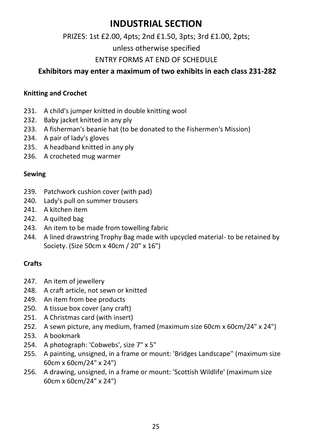### **INDUSTRIAL SECTION**

### PRIZES: 1st £2.00, 4pts; 2nd £1.50, 3pts; 3rd £1.00, 2pts;

unless otherwise specified

### ENTRY FORMS AT END OF SCHEDULE

### **Exhibitors may enter a maximum of two exhibits in each class 231-282**

#### **Knitting and Crochet**

- 231. A child's jumper knitted in double knitting wool
- 232. Baby jacket knitted in any ply
- 233. A fisherman's beanie hat (to be donated to the Fishermen's Mission)
- 234. A pair of lady's gloves
- 235. A headband knitted in any ply
- 236. A crocheted mug warmer

#### **Sewing**

- 239. Patchwork cushion cover (with pad)
- 240. Lady's pull on summer trousers
- 241. A kitchen item
- 242. A quilted bag
- 243. An item to be made from towelling fabric
- 244. A lined drawstring Trophy Bag made with upcycled material- to be retained by Society. (Size 50cm x 40cm / 20" x 16")

### **Crafts**

- 247. An item of jewellery
- 248. A craft article, not sewn or knitted
- 249. An item from bee products
- 250. A tissue box cover (any craft)
- 251. A Christmas card (with insert)
- 252. A sewn picture, any medium, framed (maximum size 60cm x 60cm/24" x 24")
- 253. A bookmark
- 254. A photograph: 'Cobwebs', size 7" x 5"
- 255. A painting, unsigned, in a frame or mount: 'Bridges Landscape'' (maximum size 60cm x 60cm/24" x 24")
- 256. A drawing, unsigned, in a frame or mount: 'Scottish Wildlife' (maximum size 60cm x 60cm/24" x 24")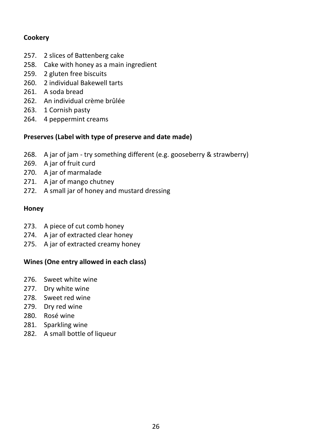### **Cookery**

- 257. 2 slices of Battenberg cake
- 258. Cake with honey as a main ingredient
- 259. 2 gluten free biscuits
- 260. 2 individual Bakewell tarts
- 261. A soda bread
- 262. An individual crème brûlée
- 263. 1 Cornish pasty
- 264. 4 peppermint creams

### **Preserves (Label with type of preserve and date made)**

- 268. A jar of jam try something different (e.g. gooseberry & strawberry)
- 269. A jar of fruit curd
- 270. A jar of marmalade
- 271. A jar of mango chutney
- 272. A small jar of honey and mustard dressing

#### **Honey**

- 273. A piece of cut comb honey
- 274. A jar of extracted clear honey
- 275. A jar of extracted creamy honey

### **Wines (One entry allowed in each class)**

- 276. Sweet white wine
- 277. Dry white wine
- 278. Sweet red wine
- 279. Dry red wine
- 280. Rosé wine
- 281. Sparkling wine
- 282. A small bottle of liqueur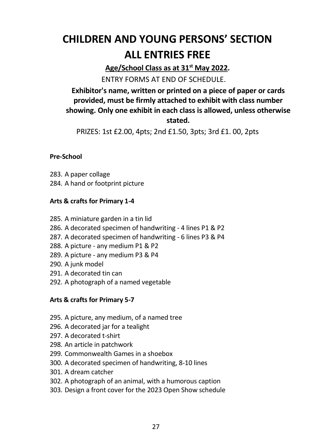### **CHILDREN AND YOUNG PERSONS' SECTION ALL ENTRIES FREE**

**Age/School Class as at 31st May 2022.**

ENTRY FORMS AT END OF SCHEDULE.

### **Exhibitor's name, written or printed on a piece of paper or cards provided, must be firmly attached to exhibit with class number showing. Only one exhibit in each class is allowed, unless otherwise stated.**

PRIZES: 1st £2.00, 4pts; 2nd £1.50, 3pts; 3rd £1. 00, 2pts

#### **Pre-School**

- 283. A paper collage
- 284. A hand or footprint picture

### **Arts & crafts for Primary 1-4**

- 285. A miniature garden in a tin lid
- 286. A decorated specimen of handwriting 4 lines P1 & P2
- 287. A decorated specimen of handwriting 6 lines P3 & P4
- 288. A picture any medium P1 & P2
- 289. A picture any medium P3 & P4
- 290. A junk model
- 291. A decorated tin can
- 292. A photograph of a named vegetable

### **Arts & crafts for Primary 5-7**

- 295. A picture, any medium, of a named tree
- 296. A decorated jar for a tealight
- 297. A decorated t-shirt
- 298. An article in patchwork
- 299. Commonwealth Games in a shoebox
- 300. A decorated specimen of handwriting, 8-10 lines
- 301. A dream catcher
- 302. A photograph of an animal, with a humorous caption
- 303. Design a front cover for the 2023 Open Show schedule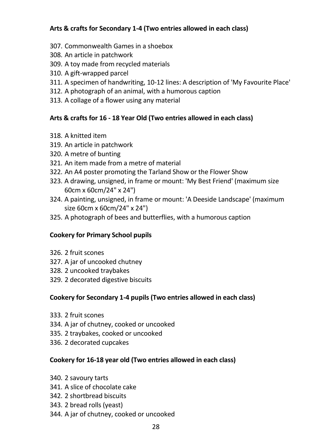### **Arts & crafts for Secondary 1-4 (Two entries allowed in each class)**

- 307. Commonwealth Games in a shoebox
- 308. An article in patchwork
- 309. A toy made from recycled materials
- 310. A gift-wrapped parcel
- 311. A specimen of handwriting, 10-12 lines: A description of 'My Favourite Place'
- 312. A photograph of an animal, with a humorous caption
- 313. A collage of a flower using any material

### **Arts & crafts for 16 - 18 Year Old (Two entries allowed in each class)**

- 318. A knitted item
- 319. An article in patchwork
- 320. A metre of bunting
- 321. An item made from a metre of material
- 322. An A4 poster promoting the Tarland Show or the Flower Show
- 323. A drawing, unsigned, in frame or mount: 'My Best Friend' (maximum size 60cm x 60cm/24" x 24")
- 324. A painting, unsigned, in frame or mount: 'A Deeside Landscape' (maximum size 60cm x 60cm/24" x 24")
- 325. A photograph of bees and butterflies, with a humorous caption

### **Cookery for Primary School pupils**

- 326. 2 fruit scones
- 327. A jar of uncooked chutney
- 328. 2 uncooked traybakes
- 329. 2 decorated digestive biscuits

### **Cookery for Secondary 1-4 pupils (Two entries allowed in each class)**

- 333. 2 fruit scones
- 334. A jar of chutney, cooked or uncooked
- 335. 2 traybakes, cooked or uncooked
- 336. 2 decorated cupcakes

### **Cookery for 16-18 year old (Two entries allowed in each class)**

- 340. 2 savoury tarts
- 341. A slice of chocolate cake
- 342. 2 shortbread biscuits
- 343. 2 bread rolls (yeast)
- 344. A jar of chutney, cooked or uncooked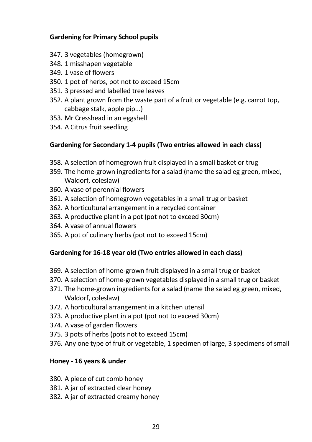#### **Gardening for Primary School pupils**

- 347. 3 vegetables (homegrown)
- 348. 1 misshapen vegetable
- 349. 1 vase of flowers
- 350. 1 pot of herbs, pot not to exceed 15cm
- 351. 3 pressed and labelled tree leaves
- 352. A plant grown from the waste part of a fruit or vegetable (e.g. carrot top, cabbage stalk, apple pip...)
- 353. Mr Cresshead in an eggshell
- 354. A Citrus fruit seedling

### **Gardening for Secondary 1-4 pupils (Two entries allowed in each class)**

- 358. A selection of homegrown fruit displayed in a small basket or trug
- 359. The home-grown ingredients for a salad (name the salad eg green, mixed, Waldorf, coleslaw)
- 360. A vase of perennial flowers
- 361. A selection of homegrown vegetables in a small trug or basket
- 362. A horticultural arrangement in a recycled container
- 363. A productive plant in a pot (pot not to exceed 30cm)
- 364. A vase of annual flowers
- 365. A pot of culinary herbs (pot not to exceed 15cm)

### **Gardening for 16-18 year old (Two entries allowed in each class)**

- 369. A selection of home-grown fruit displayed in a small trug or basket
- 370. A selection of home-grown vegetables displayed in a small trug or basket
- 371. The home-grown ingredients for a salad (name the salad eg green, mixed, Waldorf, coleslaw)
- 372. A horticultural arrangement in a kitchen utensil
- 373. A productive plant in a pot (pot not to exceed 30cm)
- 374. A vase of garden flowers
- 375. 3 pots of herbs (pots not to exceed 15cm)
- 376. Any one type of fruit or vegetable, 1 specimen of large, 3 specimens of small

### **Honey - 16 years & under**

- 380. A piece of cut comb honey
- 381. A jar of extracted clear honey
- 382. A jar of extracted creamy honey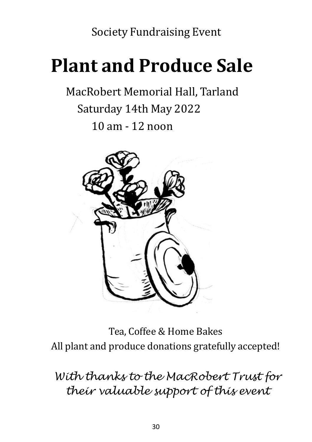Society Fundraising Event

## **Plant and Produce Sale**

MacRobert Memorial Hall, Tarland Saturday 14th May 2022 10 am - 12 noon



Tea, Coffee & Home Bakes All plant and produce donations gratefully accepted!

*With thanks to the MacRobert Trust for their valuable support of this event*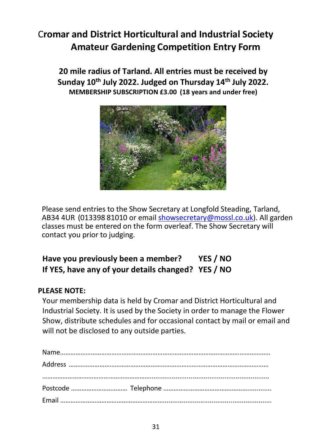### C**romar and District Horticultural and Industrial Society Amateur Gardening Competition Entry Form**

**20 mile radius of Tarland. All entries must be received by Sunday 10th July 2022. Judged on Thursday 14th July 2022. MEMBERSHIP SUBSCRIPTION £3.00 (18 years and under free)**



Please send entries to the Show Secretary at Longfold Steading, Tarland, AB34 4UR (013398 81010 or email [showsecretary@mossl.co.uk\)](mailto:showsecretary@mossl.co.uk). All garden classes must be entered on the form overleaf. The Show Secretary will contact you prior to judging.

### **Have you previously been a member? YES / NO If YES, have any of your details changed? YES / NO**

### **PLEASE NOTE:**

Your membership data is held by Cromar and District Horticultural and Industrial Society. It is used by the Society in order to manage the Flower Show, distribute schedules and for occasional contact by mail or email and will not be disclosed to any outside parties.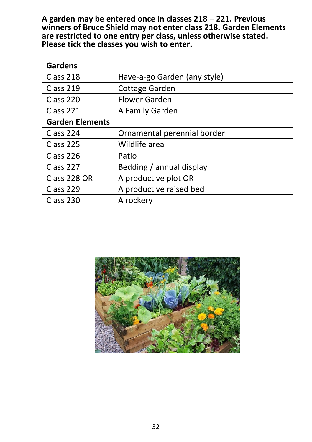**A garden may be entered once in classes 218 – 221. Previous winners of Bruce Shield may not enter class 218. Garden Elements are restricted to one entry per class, unless otherwise stated. Please tick the classes you wish to enter.**

| <b>Gardens</b>         |                              |  |
|------------------------|------------------------------|--|
| Class 218              | Have-a-go Garden (any style) |  |
| Class 219              | Cottage Garden               |  |
| Class 220              | <b>Flower Garden</b>         |  |
| Class 221              | A Family Garden              |  |
| <b>Garden Elements</b> |                              |  |
| Class 224              | Ornamental perennial border  |  |
| Class 225              | Wildlife area                |  |
| Class 226              | Patio                        |  |
| Class 227              | Bedding / annual display     |  |
| Class 228 OR           | A productive plot OR         |  |
| Class 229              | A productive raised bed      |  |
| Class 230              | A rockery                    |  |

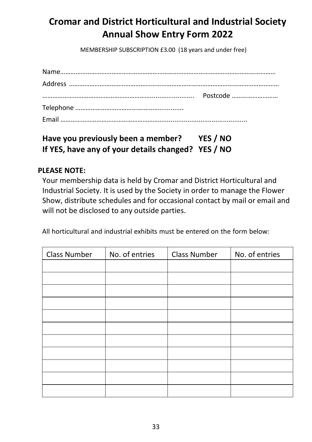### **Cromar and District Horticultural and Industrial Society Annual Show Entry Form 2022**

MEMBERSHIP SUBSCRIPTION £3.00 (18 years and under free)

### **Have you previously been a member? YES / NO If YES, have any of your details changed? YES / NO**

### **PLEASE NOTE:**

Your membership data is held by Cromar and District Horticultural and Industrial Society. It is used by the Society in order to manage the Flower Show, distribute schedules and for occasional contact by mail or email and will not be disclosed to any outside parties.

All horticultural and industrial exhibits must be entered on the form below:

| Class Number | No. of entries | Class Number | No. of entries |
|--------------|----------------|--------------|----------------|
|              |                |              |                |
|              |                |              |                |
|              |                |              |                |
|              |                |              |                |
|              |                |              |                |
|              |                |              |                |
|              |                |              |                |
|              |                |              |                |
|              |                |              |                |
|              |                |              |                |
|              |                |              |                |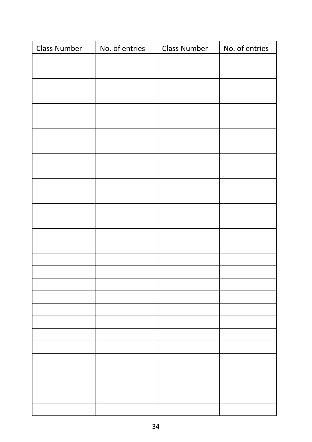| <b>Class Number</b> | No. of entries | <b>Class Number</b> | No. of entries |
|---------------------|----------------|---------------------|----------------|
|                     |                |                     |                |
|                     |                |                     |                |
|                     |                |                     |                |
|                     |                |                     |                |
|                     |                |                     |                |
|                     |                |                     |                |
|                     |                |                     |                |
|                     |                |                     |                |
|                     |                |                     |                |
|                     |                |                     |                |
|                     |                |                     |                |
|                     |                |                     |                |
|                     |                |                     |                |
|                     |                |                     |                |
|                     |                |                     |                |
|                     |                |                     |                |
|                     |                |                     |                |
|                     |                |                     |                |
|                     |                |                     |                |
|                     |                |                     |                |
|                     |                |                     |                |
|                     |                |                     |                |
|                     |                |                     |                |
|                     |                |                     |                |
|                     |                |                     |                |
|                     |                |                     |                |
|                     |                |                     |                |
|                     |                |                     |                |
|                     |                |                     |                |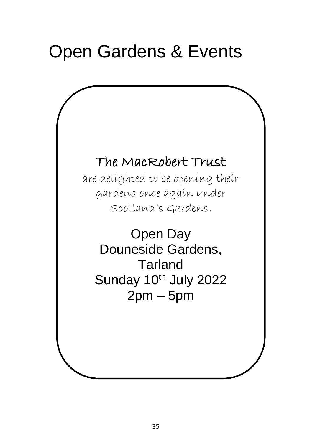## Open Gardens & Events

### The MacRobert Trust

are delighted to be opening their gardens once again under Scotland's Gardens.

Open Day Douneside Gardens, Tarland Sunday 10<sup>th</sup> July 2022  $2pm - 5pm$